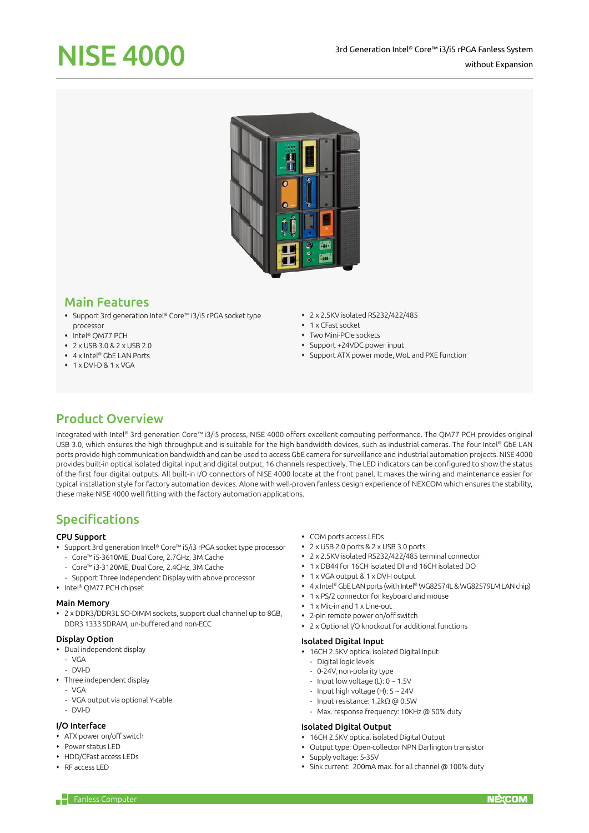# NISE 4000



## Main Features

- Support 3rd generation Intel® Core™ i3/i5 rPGA socket type processor
- Intel® OM77 PCH
- 2 x USB 3.0 & 2 x USB 2.0
- 4 x Intel® GbE LAN Ports
- $\cdot$  1 x DVI-D & 1 x VGA
- 2 x 2.5KV isolated RS232/422/485
- 1 x CFast socket
- Two Mini-PCIe sockets
- Support +24VDC power input
- Support ATX power mode, WoL and PXE function

# Product Overview

Integrated with Intel® 3rd generation Core™ i3/i5 process, NISE 4000 offers excellent computing performance. The QM77 PCH provides original USB 3.0, which ensures the high throughput and is suitable for the high bandwidth devices, such as industrial cameras. The four Intel® GbE LAN ports provide high communication bandwidth and can be used to access GbE camera for surveillance and industrial automation projects. NISE 4000 provides built-in optical isolated digital input and digital output, 16 channels respectively. The LED indicators can be configured to show the status of the first four digital outputs. All built-in I/O connectors of NISE 4000 locate at the front panel. It makes the wiring and maintenance easier for typical installation style for factory automation devices. Alone with well-proven fanless design experience of NEXCOM which ensures the stability, these make NISE 4000 well fitting with the factory automation applications.

# Specifications

#### CPU Support

- Support 3rd generation Intel® Core™ i5/i3 rPGA socket type processor
	- Core™ i5-3610ME, Dual Core, 2.7GHz, 3M Cache
	- Core™ i3-3120ME, Dual Core, 2.4GHz, 3M Cache
	- Support Three Independent Display with above processor
- Intel® QM77 PCH chipset

#### Main Memory

 2 x DDR3/DDR3L SO-DIMM sockets, support dual channel up to 8GB, DDR3 1333 SDRAM, un-buffered and non-ECC

#### Display Option

- Dual independent display
- $-$  VCA
- DVI-D
- Three independent display
- VGA
- VGA output via optional Y-cable
- DVI-D

## I/O Interface

- ATX power on/off switch
- Power status LED
- HDD/CFast access LEDs
- RF access LED
- COM ports access LEDs
- 2 x USB 2.0 ports & 2 x USB 3.0 ports
- 2 x 2.5KV isolated RS232/422/485 terminal connector
- 1 x DB44 for 16CH isolated DI and 16CH isolated DO
- 1 x VGA output & 1 x DVI-I output
- 4 x Intel® GbE LAN ports (with Intel® WG82574L & WG82579LM LAN chip)
- 1 x PS/2 connector for keyboard and mouse
- 1 x Mic-in and 1 x Line-out
- 2-pin remote power on/off switch
- 2 x Optional I/O knockout for additional functions

#### Isolated Digital Input

- 16CH 2.5KV optical isolated Digital Input
	- Digital logic levels
	- 0-24V, non-polarity type
	- Input low voltage (L):  $0 \sim 1.5V$
	- Input high voltage (H):  $5 \sim 24$ V
	- Input resistance: 1.2kΩ @ 0.5W
	- Max. response frequency: 10KHz @ 50% duty

#### Isolated Digital Output

- 16CH 2.5KV optical isolated Digital Output
- Output type: Open-collector NPN Darlington transistor
- Supply voltage: 5-35V
- Sink current: 200mA max. for all channel @ 100% duty